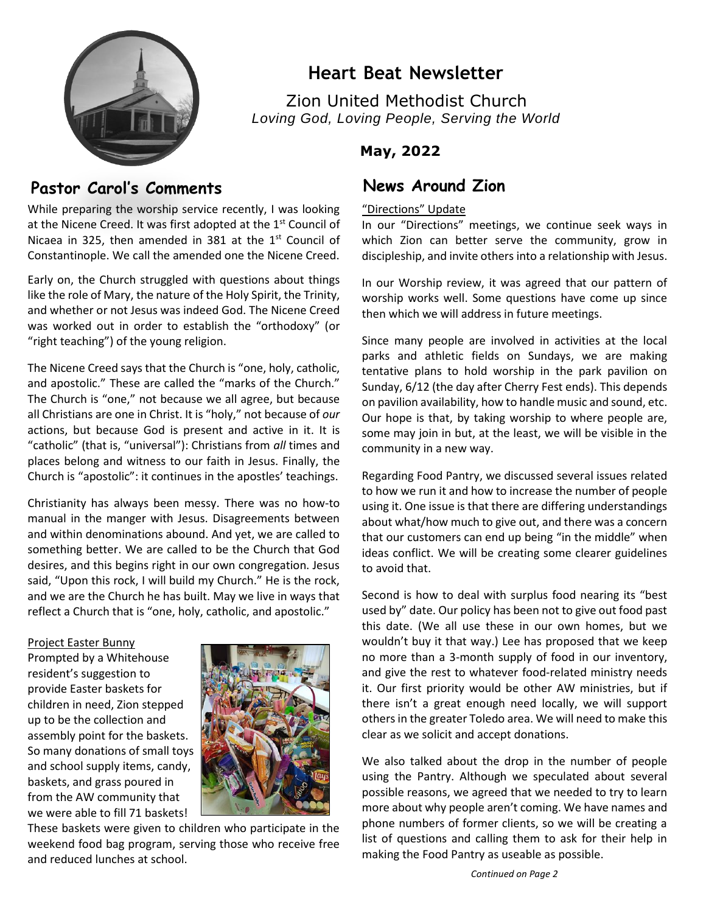

# **Heart Beat Newsletter**

Zion United Methodist Church *Loving God, Loving People, Serving the World*

## **May, 2022**

# Pastor Carol's Comments **News Around Zion**

While preparing the worship service recently, I was looking at the Nicene Creed. It was first adopted at the 1<sup>st</sup> Council of Nicaea in 325, then amended in 381 at the  $1<sup>st</sup>$  Council of Constantinople. We call the amended one the Nicene Creed.

Early on, the Church struggled with questions about things like the role of Mary, the nature of the Holy Spirit, the Trinity, and whether or not Jesus was indeed God. The Nicene Creed was worked out in order to establish the "orthodoxy" (or "right teaching") of the young religion.

The Nicene Creed says that the Church is "one, holy, catholic, and apostolic." These are called the "marks of the Church." The Church is "one," not because we all agree, but because all Christians are one in Christ. It is "holy," not because of *our* actions, but because God is present and active in it. It is "catholic" (that is, "universal"): Christians from *all* times and places belong and witness to our faith in Jesus. Finally, the Church is "apostolic": it continues in the apostles' teachings.

Christianity has always been messy. There was no how-to manual in the manger with Jesus. Disagreements between and within denominations abound. And yet, we are called to something better. We are called to be the Church that God desires, and this begins right in our own congregation. Jesus said, "Upon this rock, I will build my Church." He is the rock, and we are the Church he has built. May we live in ways that reflect a Church that is "one, holy, catholic, and apostolic."

### Project Easter Bunny

Prompted by a Whitehouse resident's suggestion to provide Easter baskets for children in need, Zion stepped up to be the collection and assembly point for the baskets. So many donations of small toys and school supply items, candy, baskets, and grass poured in from the AW community that we were able to fill 71 baskets!



These baskets were given to children who participate in the weekend food bag program, serving those who receive free and reduced lunches at school.

## "Directions" Update

 which Zion can better serve the community, grow in In our "Directions" meetings, we continue seek ways in discipleship, and invite others into a relationship with Jesus.

In our Worship review, it was agreed that our pattern of worship works well. Some questions have come up since then which we will address in future meetings.

Since many people are involved in activities at the local parks and athletic fields on Sundays, we are making tentative plans to hold worship in the park pavilion on Sunday, 6/12 (the day after Cherry Fest ends). This depends on pavilion availability, how to handle music and sound, etc. Our hope is that, by taking worship to where people are, some may join in but, at the least, we will be visible in the community in a new way.

Regarding Food Pantry, we discussed several issues related to how we run it and how to increase the number of people using it. One issue is that there are differing understandings about what/how much to give out, and there was a concern that our customers can end up being "in the middle" when ideas conflict. We will be creating some clearer guidelines to avoid that.

Second is how to deal with surplus food nearing its "best used by" date. Our policy has been not to give out food past this date. (We all use these in our own homes, but we wouldn't buy it that way.) Lee has proposed that we keep no more than a 3-month supply of food in our inventory, and give the rest to whatever food-related ministry needs it. Our first priority would be other AW ministries, but if there isn't a great enough need locally, we will support others in the greater Toledo area. We will need to make this clear as we solicit and accept donations.

We also talked about the drop in the number of people using the Pantry. Although we speculated about several possible reasons, we agreed that we needed to try to learn more about why people aren't coming. We have names and phone numbers of former clients, so we will be creating a list of questions and calling them to ask for their help in making the Food Pantry as useable as possible.